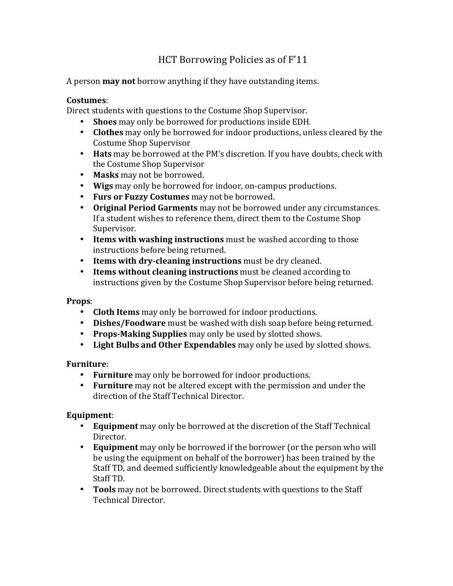# HCT Borrowing Policies as of F'11

A person **may not** borrow anything if they have outstanding items.

### **Costumes**:

Direct students with questions to the Costume Shop Supervisor.

- Shoes may only be borrowed for productions inside EDH.
- **Clothes** may only be borrowed for indoor productions, unless cleared by the Costume Shop Supervisor
- Hats may be borrowed at the PM's discretion. If you have doubts, check with the Costume Shop Supervisor
- Masks may not be borrowed.
- Wigs may only be borrowed for indoor, on-campus productions.
- Furs or Fuzzy Costumes may not be borrowed.
- Original Period Garments may not be borrowed under any circumstances. If a student wishes to reference them, direct them to the Costume Shop Supervisor.
- Items with washing instructions must be washed according to those instructions before being returned.
- **Items with dry-cleaning instructions** must be dry cleaned.
- **Items without cleaning instructions** must be cleaned according to instructions given by the Costume Shop Supervisor before being returned.

## **Props**:

- **Cloth Items** may only be borrowed for indoor productions.
- **Dishes/Foodware** must be washed with dish soap before being returned.
- **Props-Making Supplies** may only be used by slotted shows.
- Light Bulbs and Other Expendables may only be used by slotted shows.

## **Furniture**:

- Furniture may only be borrowed for indoor productions.
- **Furniture** may not be altered except with the permission and under the direction of the Staff Technical Director.

## **Equipment**:

- **Equipment** may only be borrowed at the discretion of the Staff Technical Director.
- **Equipment** may only be borrowed if the borrower (or the person who will be using the equipment on behalf of the borrower) has been trained by the Staff TD, and deemed sufficiently knowledgeable about the equipment by the Staff TD.
- **Tools** may not be borrowed. Direct students with questions to the Staff Technical Director.